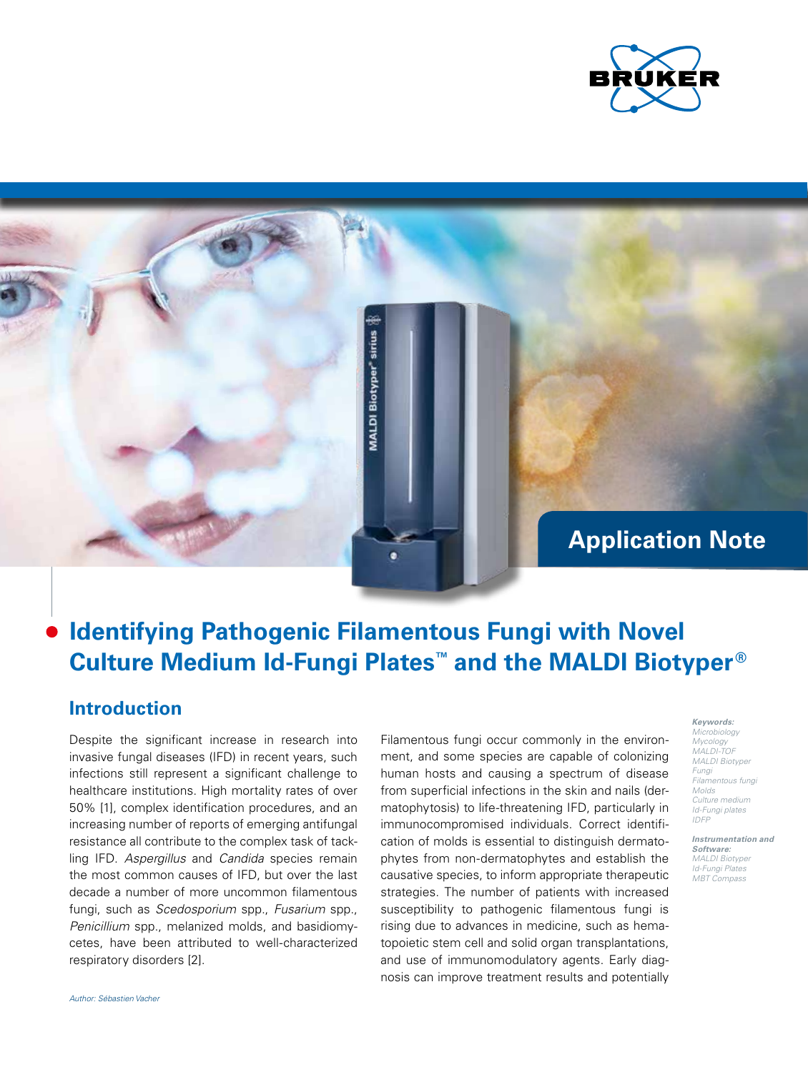

## **Application Note**

# **Identifying Pathogenic Filamentous Fungi with Novel Culture Medium Id-Fungi Plates™ and the MALDI Biotyper ®**

**VIALDI Biotyper sirius** 

### **Introduction**

Despite the significant increase in research into invasive fungal diseases (IFD) in recent years, such infections still represent a significant challenge to healthcare institutions. High mortality rates of over 50% [1], complex identification procedures, and an increasing number of reports of emerging antifungal resistance all contribute to the complex task of tackling IFD. *Aspergillus* and *Candida* species remain the most common causes of IFD, but over the last decade a number of more uncommon filamentous fungi, such as *Scedosporium* spp., *Fusarium* spp., *Penicillium* spp., melanized molds, and basidiomycetes, have been attributed to well-characterized respiratory disorders [2].

Filamentous fungi occur commonly in the environment, and some species are capable of colonizing human hosts and causing a spectrum of disease from superficial infections in the skin and nails (dermatophytosis) to life-threatening IFD, particularly in immunocompromised individuals. Correct identification of molds is essential to distinguish dermatophytes from non-dermatophytes and establish the causative species, to inform appropriate therapeutic strategies. The number of patients with increased susceptibility to pathogenic filamentous fungi is rising due to advances in medicine, such as hematopoietic stem cell and solid organ transplantations, and use of immunomodulatory agents. Early diagnosis can improve treatment results and potentially

#### *Keywords: Microbiology Mycology MALDI-TOF MALDI Biotyper Fungi Filamentous fungi Molds Culture medium Id-Fungi plates IDFP*

*Instrumentation and Software: MALDI Biotype Id-Fungi Plates MBT Compass*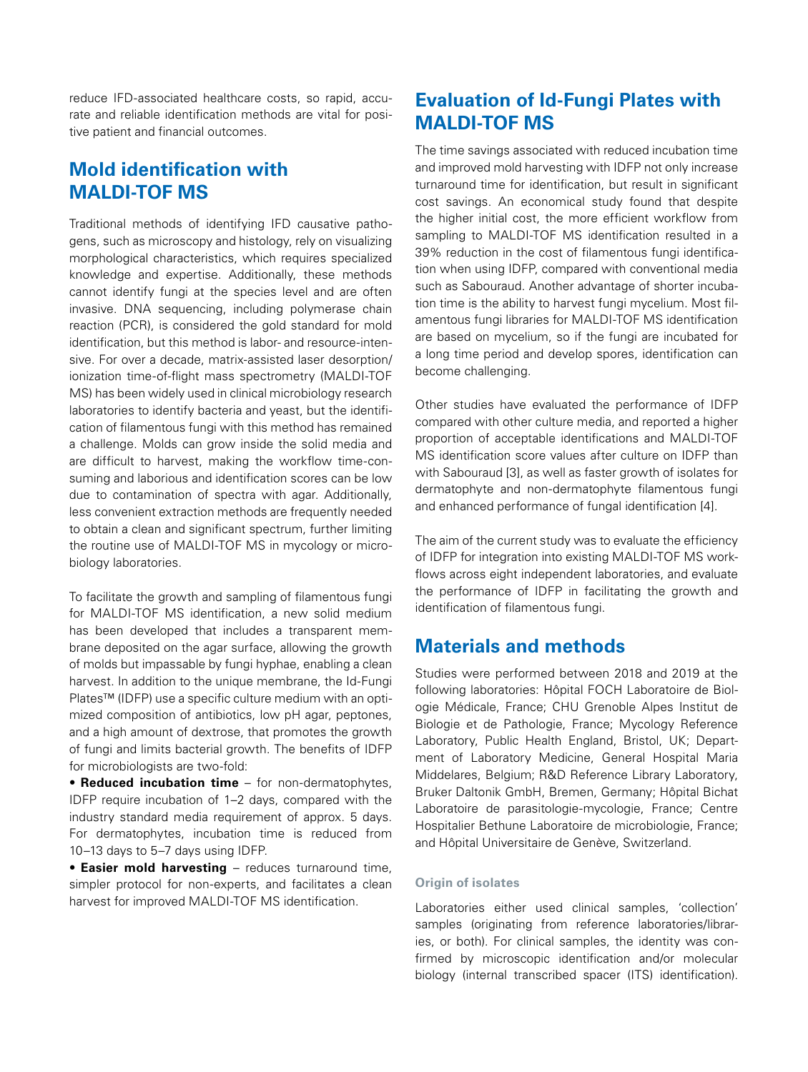reduce IFD-associated healthcare costs, so rapid, accurate and reliable identification methods are vital for positive patient and financial outcomes.

### **Mold identification with MALDI-TOF MS**

Traditional methods of identifying IFD causative pathogens, such as microscopy and histology, rely on visualizing morphological characteristics, which requires specialized knowledge and expertise. Additionally, these methods cannot identify fungi at the species level and are often invasive. DNA sequencing, including polymerase chain reaction (PCR), is considered the gold standard for mold identification, but this method is labor- and resource-intensive. For over a decade, matrix-assisted laser desorption/ ionization time-of-flight mass spectrometry (MALDI-TOF MS) has been widely used in clinical microbiology research laboratories to identify bacteria and yeast, but the identification of filamentous fungi with this method has remained a challenge. Molds can grow inside the solid media and are difficult to harvest, making the workflow time-consuming and laborious and identification scores can be low due to contamination of spectra with agar. Additionally, less convenient extraction methods are frequently needed to obtain a clean and significant spectrum, further limiting the routine use of MALDI-TOF MS in mycology or microbiology laboratories.

To facilitate the growth and sampling of filamentous fungi for MALDI-TOF MS identification, a new solid medium has been developed that includes a transparent membrane deposited on the agar surface, allowing the growth of molds but impassable by fungi hyphae, enabling a clean harvest. In addition to the unique membrane, the Id-Fungi Plates™ (IDFP) use a specific culture medium with an optimized composition of antibiotics, low pH agar, peptones, and a high amount of dextrose, that promotes the growth of fungi and limits bacterial growth. The benefits of IDFP for microbiologists are two-fold:

• **Reduced incubation time** – for non-dermatophytes, IDFP require incubation of 1–2 days, compared with the industry standard media requirement of approx. 5 days. For dermatophytes, incubation time is reduced from 10–13 days to 5–7 days using IDFP.

• **Easier mold harvesting** – reduces turnaround time, simpler protocol for non-experts, and facilitates a clean harvest for improved MALDI-TOF MS identification.

### **Evaluation of Id-Fungi Plates with MALDI-TOF MS**

The time savings associated with reduced incubation time and improved mold harvesting with IDFP not only increase turnaround time for identification, but result in significant cost savings. An economical study found that despite the higher initial cost, the more efficient workflow from sampling to MALDI-TOF MS identification resulted in a 39% reduction in the cost of filamentous fungi identification when using IDFP, compared with conventional media such as Sabouraud. Another advantage of shorter incubation time is the ability to harvest fungi mycelium. Most filamentous fungi libraries for MALDI-TOF MS identification are based on mycelium, so if the fungi are incubated for a long time period and develop spores, identification can become challenging.

Other studies have evaluated the performance of IDFP compared with other culture media, and reported a higher proportion of acceptable identifications and MALDI-TOF MS identification score values after culture on IDFP than with Sabouraud [3], as well as faster growth of isolates for dermatophyte and non-dermatophyte filamentous fungi and enhanced performance of fungal identification [4].

The aim of the current study was to evaluate the efficiency of IDFP for integration into existing MALDI-TOF MS workflows across eight independent laboratories, and evaluate the performance of IDFP in facilitating the growth and identification of filamentous fungi.

### **Materials and methods**

Studies were performed between 2018 and 2019 at the following laboratories: Hôpital FOCH Laboratoire de Biologie Médicale, France; CHU Grenoble Alpes Institut de Biologie et de Pathologie, France; Mycology Reference Laboratory, Public Health England, Bristol, UK; Department of Laboratory Medicine, General Hospital Maria Middelares, Belgium; R&D Reference Library Laboratory, Bruker Daltonik GmbH, Bremen, Germany; Hôpital Bichat Laboratoire de parasitologie-mycologie, France; Centre Hospitalier Bethune Laboratoire de microbiologie, France; and Hôpital Universitaire de Genève, Switzerland.

#### **Origin of isolates**

Laboratories either used clinical samples, 'collection' samples (originating from reference laboratories/libraries, or both). For clinical samples, the identity was confirmed by microscopic identification and/or molecular biology (internal transcribed spacer (ITS) identification).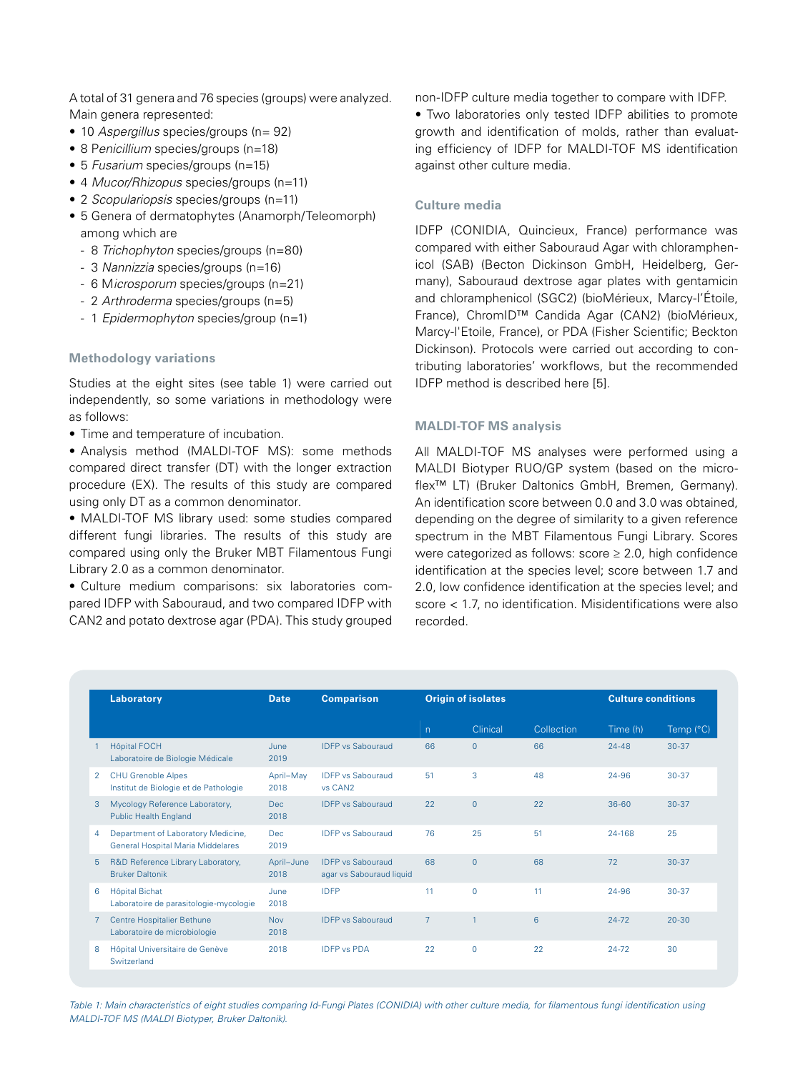A total of 31 genera and 76 species (groups) were analyzed. Main genera represented:

- 10 *Aspergillus* species/groups (n= 92)
- 8 P*enicillium* species/groups (n=18)
- 5 *Fusarium* species/groups (n=15)
- 4 *Mucor/Rhizopus* species/groups (n=11)
- 2 *Scopulariopsis* species/groups (n=11)
- 5 Genera of dermatophytes (Anamorph/Teleomorph) among which are
	- 8 *Trichophyton* species/groups (n=80)
	- 3 *Nannizzia* species/groups (n=16)
	- 6 M*icrosporum* species/groups (n=21)
	- 2 *Arthroderma* species/groups (n=5)
	- 1 *Epidermophyton* species/group (n=1)

#### **Methodology variations**

Studies at the eight sites (see table 1) were carried out independently, so some variations in methodology were as follows:

• Time and temperature of incubation.

• Analysis method (MALDI-TOF MS): some methods compared direct transfer (DT) with the longer extraction procedure (EX). The results of this study are compared using only DT as a common denominator.

• MALDI-TOF MS library used: some studies compared different fungi libraries. The results of this study are compared using only the Bruker MBT Filamentous Fungi Library 2.0 as a common denominator.

• Culture medium comparisons: six laboratories compared IDFP with Sabouraud, and two compared IDFP with CAN2 and potato dextrose agar (PDA). This study grouped non-IDFP culture media together to compare with IDFP.

• Two laboratories only tested IDFP abilities to promote growth and identification of molds, rather than evaluating efficiency of IDFP for MALDI-TOF MS identification against other culture media.

#### **Culture media**

IDFP (CONIDIA, Quincieux, France) performance was compared with either Sabouraud Agar with chloramphenicol (SAB) (Becton Dickinson GmbH, Heidelberg, Germany), Sabouraud dextrose agar plates with gentamicin and chloramphenicol (SGC2) (bioMérieux, Marcy-l'Étoile, France), ChromID™ Candida Agar (CAN2) (bioMérieux, Marcy-l'Etoile, France), or PDA (Fisher Scientific; Beckton Dickinson). Protocols were carried out according to contributing laboratories' workflows, but the recommended IDFP method is described here [5].

#### **MALDI-TOF MS analysis**

All MALDI-TOF MS analyses were performed using a MALDI Biotyper RUO/GP system (based on the microflex™ LT) (Bruker Daltonics GmbH, Bremen, Germany). An identification score between 0.0 and 3.0 was obtained, depending on the degree of similarity to a given reference spectrum in the MBT Filamentous Fungi Library. Scores were categorized as follows: score ≥ 2.0, high confidence identification at the species level; score between 1.7 and 2.0, low confidence identification at the species level; and score < 1.7, no identification. Misidentifications were also recorded.

|   | Laboratory                                                              | <b>Date</b>        | <b>Comparison</b>                                    | <b>Origin of isolates</b> |              |            | <b>Culture conditions</b> |                    |
|---|-------------------------------------------------------------------------|--------------------|------------------------------------------------------|---------------------------|--------------|------------|---------------------------|--------------------|
|   |                                                                         |                    |                                                      | n.                        | Clinical     | Collection | Time (h)                  | Temp $(^{\circ}C)$ |
|   | <b>Hôpital FOCH</b><br>Laboratoire de Biologie Médicale                 | June<br>2019       | <b>IDEP</b> vs Sabouraud                             | 66                        | $\Omega$     | 66         | $24 - 48$                 | $30-37$            |
| 2 | <b>CHU Grenoble Alpes</b><br>Institut de Biologie et de Pathologie      | April-May<br>2018  | <b>IDEP</b> vs Sabouraud<br>vs CAN <sub>2</sub>      | 51                        | 3            | 48         | 24-96                     | $30 - 37$          |
| 3 | Mycology Reference Laboratory,<br><b>Public Health England</b>          | Dec.<br>2018       | <b>IDEP</b> vs Sabouraud                             | 22                        | $\mathbf{0}$ | 22         | $36 - 60$                 | $30 - 37$          |
| 4 | Department of Laboratory Medicine,<br>General Hospital Maria Middelares | <b>Dec</b><br>2019 | <b>IDEP</b> vs Sabouraud                             | 76                        | 25           | 51         | 24-168                    | 25                 |
| 5 | R&D Reference Library Laboratory,<br><b>Bruker Daltonik</b>             | April-June<br>2018 | <b>IDEP</b> vs Sabouraud<br>agar vs Sabouraud liquid | 68                        | $\Omega$     | 68         | 72                        | $30-37$            |
| 6 | <b>Hôpital Bichat</b><br>Laboratoire de parasitologie-mycologie         | June<br>2018       | <b>IDFP</b>                                          | 11                        | $\mathbf 0$  | 11         | 24-96                     | $30 - 37$          |
|   | Centre Hospitalier Bethune<br>Laboratoire de microbiologie              | <b>Nov</b><br>2018 | <b>IDEP</b> vs Sabouraud                             | $\overline{7}$            | -1           | 6          | $24 - 72$                 | $20 - 30$          |
| 8 | Hôpital Universitaire de Genève<br>Switzerland                          | 2018               | <b>IDFP vs PDA</b>                                   | 22                        | $\mathbf 0$  | 22         | $24 - 72$                 | 30                 |

*Table 1: Main characteristics of eight studies comparing Id-Fungi Plates (CONIDIA) with other culture media, for filamentous fungi identification using MALDI-TOF MS (MALDI Biotyper, Bruker Daltonik).*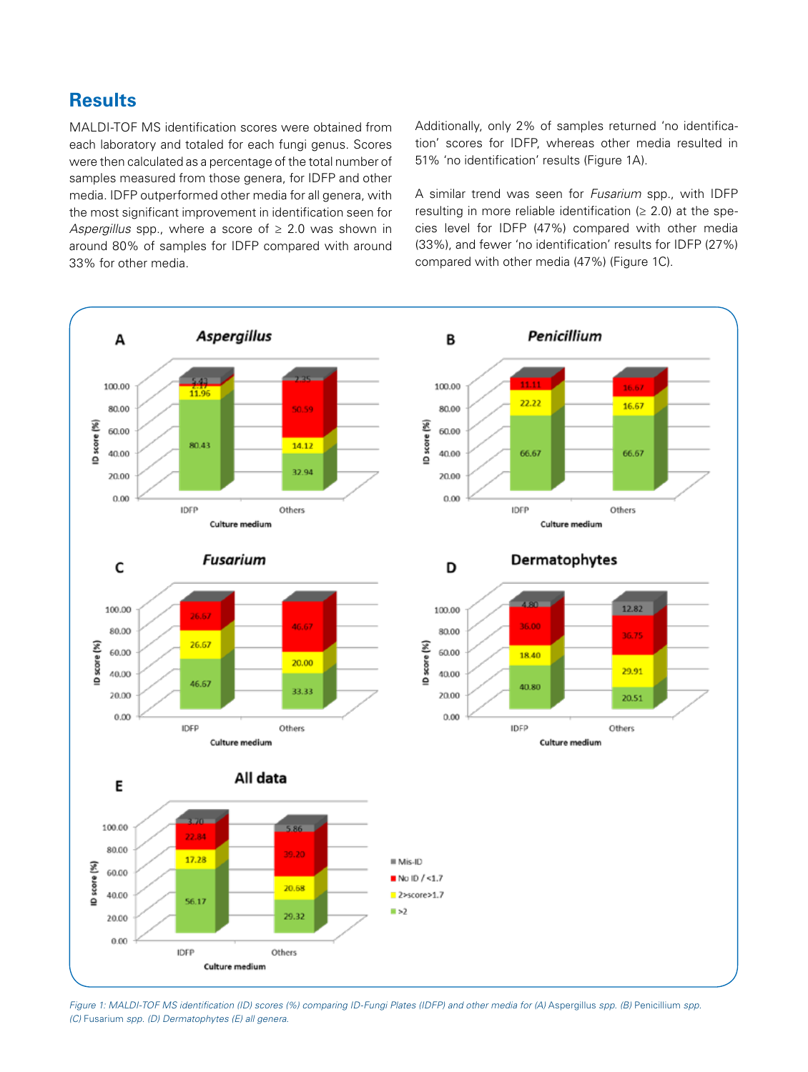### **Results**

MALDI-TOF MS identification scores were obtained from each laboratory and totaled for each fungi genus. Scores were then calculated as a percentage of the total number of samples measured from those genera, for IDFP and other media. IDFP outperformed other media for all genera, with the most significant improvement in identification seen for *Aspergillus* spp., where a score of ≥ 2.0 was shown in around 80% of samples for IDFP compared with around 33% for other media.

Additionally, only 2% of samples returned 'no identification' scores for IDFP, whereas other media resulted in 51% 'no identification' results (Figure 1A).

A similar trend was seen for *Fusarium* spp., with IDFP resulting in more reliable identification ( $\geq$  2.0) at the species level for IDFP (47%) compared with other media (33%), and fewer 'no identification' results for IDFP (27%) compared with other media (47%) (Figure 1C).



*Figure 1: MALDI-TOF MS identification (ID) scores (%) comparing ID-Fungi Plates (IDFP) and other media for (A) Aspergillus <i>spp. (B)* Penicillium *spp. (C)* Fusarium *spp. (D) Dermatophytes (E) all genera.*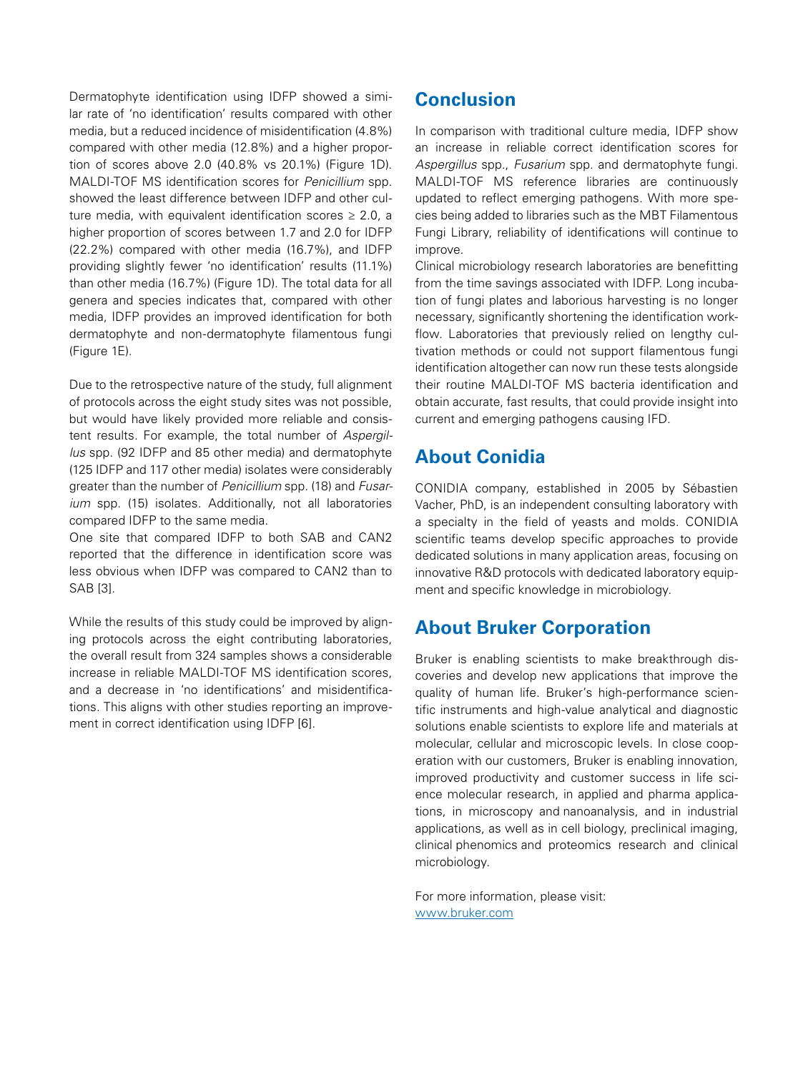Dermatophyte identification using IDFP showed a similar rate of 'no identification' results compared with other media, but a reduced incidence of misidentification (4.8%) compared with other media (12.8%) and a higher proportion of scores above 2.0 (40.8% vs 20.1%) (Figure 1D). MALDI-TOF MS identification scores for *Penicillium* spp. showed the least difference between IDFP and other culture media, with equivalent identification scores  $\geq 2.0$ , a higher proportion of scores between 1.7 and 2.0 for IDFP (22.2%) compared with other media (16.7%), and IDFP providing slightly fewer 'no identification' results (11.1%) than other media (16.7%) (Figure 1D). The total data for all genera and species indicates that, compared with other media, IDFP provides an improved identification for both dermatophyte and non-dermatophyte filamentous fungi (Figure 1E).

Due to the retrospective nature of the study, full alignment of protocols across the eight study sites was not possible, but would have likely provided more reliable and consistent results. For example, the total number of *Aspergillus* spp. (92 IDFP and 85 other media) and dermatophyte (125 IDFP and 117 other media) isolates were considerably greater than the number of *Penicillium* spp. (18) and *Fusarium* spp. (15) isolates. Additionally, not all laboratories compared IDFP to the same media.

One site that compared IDFP to both SAB and CAN2 reported that the difference in identification score was less obvious when IDFP was compared to CAN2 than to SAB [3].

While the results of this study could be improved by aligning protocols across the eight contributing laboratories, the overall result from 324 samples shows a considerable increase in reliable MALDI-TOF MS identification scores, and a decrease in 'no identifications' and misidentifications. This aligns with other studies reporting an improvement in correct identification using IDFP [6].

### **Conclusion**

In comparison with traditional culture media, IDFP show an increase in reliable correct identification scores for *Aspergillus* spp., *Fusarium* spp. and dermatophyte fungi. MALDI-TOF MS reference libraries are continuously updated to reflect emerging pathogens. With more species being added to libraries such as the MBT Filamentous Fungi Library, reliability of identifications will continue to improve.

Clinical microbiology research laboratories are benefitting from the time savings associated with IDFP. Long incubation of fungi plates and laborious harvesting is no longer necessary, significantly shortening the identification workflow. Laboratories that previously relied on lengthy cultivation methods or could not support filamentous fungi identification altogether can now run these tests alongside their routine MALDI-TOF MS bacteria identification and obtain accurate, fast results, that could provide insight into current and emerging pathogens causing IFD.

### **About Conidia**

CONIDIA company, established in 2005 by Sébastien Vacher, PhD, is an independent consulting laboratory with a specialty in the field of yeasts and molds. CONIDIA scientific teams develop specific approaches to provide dedicated solutions in many application areas, focusing on innovative R&D protocols with dedicated laboratory equipment and specific knowledge in microbiology.

### **About Bruker Corporation**

Bruker is enabling scientists to make breakthrough discoveries and develop new applications that improve the quality of human life. Bruker's high-performance scientific instruments and high-value analytical and diagnostic solutions enable scientists to explore life and materials at molecular, cellular and microscopic levels. In close cooperation with our customers, Bruker is enabling innovation, improved productivity and customer success in life science molecular research, in applied and pharma applications, in microscopy and nanoanalysis, and in industrial applications, as well as in cell biology, preclinical imaging, clinical phenomics and proteomics research and clinical microbiology.

For more information, please visit: www.bruker.com